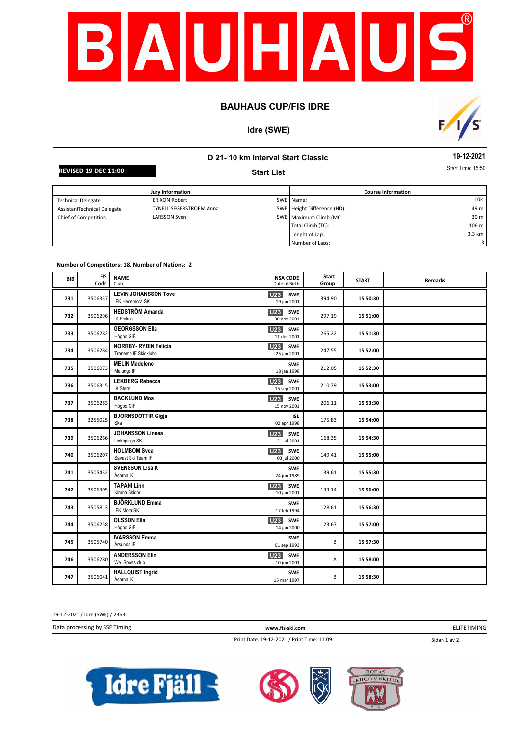

### **BAUHAUS CUP/FIS IDRE**

# **Idre (SWE)**



# **D 21- 10 km Interval Start Classic Start List**

**19-12-2021**

**REVISED 19 DEC 11:00** Start **Contract Contract Contract Contract Contract Contract Contract Contract Contract Contract Contract Contract Contract Contract Contract Contract Contract Contract Contract Contract Contract Con** 

| Jury Information            |                                |  | <b>Course Information</b>   |                 |  |
|-----------------------------|--------------------------------|--|-----------------------------|-----------------|--|
| <b>Technical Delegate</b>   | <b>ERIXON Robert</b>           |  | SWE Name:                   | 10k             |  |
| AssistantTechnical Delegate | <b>TYNELL SEGERSTROEM Anna</b> |  | SWE Height Difference (HD): | 49 m            |  |
| Chief of Competition        | <b>LARSSON Sven</b>            |  | SWE Maximum Climb (MC       | 30 <sub>m</sub> |  |
|                             |                                |  | Total Climb (TC):           | 106 m           |  |
|                             |                                |  | Lenght of Lap:              | 3.3 km          |  |
|                             |                                |  | Number of Laps:             |                 |  |

#### **Number of Competitors: 18, Number of Nations: 2**

| <b>BIB</b> | <b>FIS</b><br>Code | <b>NSA CODE</b><br><b>NAME</b><br>Date of Birth<br>Club                               | Start<br>Group | <b>START</b> | <b>Remarks</b> |
|------------|--------------------|---------------------------------------------------------------------------------------|----------------|--------------|----------------|
| 731        | 3506337            | <b>LEVIN JOHANSSON Tove</b><br>U23<br>SWE<br>IFK Hedemora SK<br>19 jan 2001           | 394.90         | 15:50:30     |                |
| 732        | 3506296            | <b>HEDSTRÖM Amanda</b><br>U23 SWE<br>IK Fryken<br>30 nov 2001                         | 297.19         | 15:51:00     |                |
| 733        | 3506282            | <b>GEORGSSON Ella</b><br>U <sub>23</sub> SWE<br>Högbo GIF<br>11 dec 2001              | 265.22         | 15:51:30     |                |
| 734        | 3506284            | <b>NORRBY- RYDIN Felicia</b><br><b>U23</b> SWE<br>Tranemo IF Skidklubb<br>25 jan 2001 | 247.55         | 15:52:00     |                |
| 735        | 3506073            | <b>MELIN Madelene</b><br><b>SWE</b><br>Malungs IF<br>18 jan 1998                      | 212.05         | 15:52:30     |                |
| 736        | 3506315            | <b>LEKBERG Rebecca</b><br><b>U23</b> SWE<br>IK Stern<br>15 sep 2001                   | 210.79         | 15:53:00     |                |
| 737        | 3506283            | <b>BACKLUND Moa</b><br>U23 SWE<br>Högbo GIF<br>15 nov 2001                            | 206.11         | 15:53:30     |                |
| 738        | 3255025            | <b>BJORNSDOTTIR Gigja</b><br><b>ISL</b><br>Ska<br>02 apr 1998                         | 175.83         | 15:54:00     |                |
| 739        | 3506266            | <b>JOHANSSON Linnea</b><br><b>U23</b><br>SWE<br>Linköpings SK<br>21 jul 2001          | 168.35         | 15:54:30     |                |
| 740        | 3506207            | <b>HOLMBOM Svea</b><br><b>U23</b><br>SWE<br>Sävast Ski Team IF<br>03 jul 2000         | 149.41         | 15:55:00     |                |
| 741        | 3505432            | <b>SVENSSON Lisa K</b><br><b>SWE</b><br>Åsarna IK<br>24 jun 1989                      | 139.61         | 15:55:30     |                |
| 742        | 3506305            | <b>TAPANI Linn</b><br>U <sub>23</sub><br>SWE<br>Kiruna Skidor<br>10 jan 2001          | 133.14         | 15:56:00     |                |
| 743        | 3505813            | <b>BJÖRKLUND Emma</b><br><b>SWE</b><br>IFK Mora SK<br>17 feb 1994                     | 128.61         | 15:56:30     |                |
| 744        | 3506258            | <b>OLSSON Ella</b><br>U <sub>23</sub><br><b>SWE</b><br>Högbo GIF<br>14 jan 2000       | 123.67         | 15:57:00     |                |
| 745        | 3505740            | <b>IVARSSON Emma</b><br><b>SWE</b><br>Årsunda IF<br>01 sep 1993                       | B              | 15:57:30     |                |
| 746        | 3506280            | <b>ANDERSSON Elin</b><br><b>U23</b><br><b>SWE</b><br>We Sports club<br>10 jun 2001    | Α              | 15:58:00     |                |
| 747        | 3506041            | <b>HALLQUIST Ingrid</b><br><b>SWE</b><br>Åsarna IK<br>15 mar 1997                     | B              | 15:58:30     |                |

19-12-2021 / Idre (SWE) / 2363

Data processing by SSF Timing **www.fis-ski.com**

ELITETIMING

Print Date: 19-12-2021 / Print Time: 11:09

Sidan 1 av 2